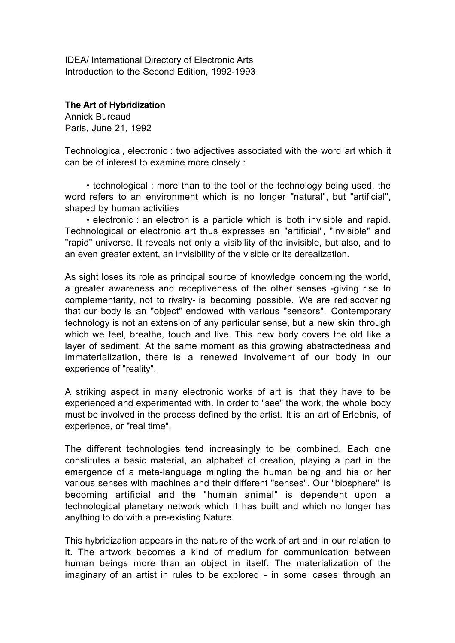IDEA/ International Directory of Electronic Arts Introduction to the Second Edition, 1992-1993

**The Art of Hybridization**

Annick Bureaud Paris, June 21, 1992

Technological, electronic : two adjectives associated with the word art which it can be of interest to examine more closely :

• technological : more than to the tool or the technology being used, the word refers to an environment which is no longer "natural", but "artificial", shaped by human activities

• electronic : an electron is a particle which is both invisible and rapid. Technological or electronic art thus expresses an "artificial", "invisible" and "rapid" universe. It reveals not only a visibility of the invisible, but also, and to an even greater extent, an invisibility of the visible or its derealization.

As sight loses its role as principal source of knowledge concerning the world, a greater awareness and receptiveness of the other senses -giving rise to complementarity, not to rivalry- is becoming possible. We are rediscovering that our body is an "object" endowed with various "sensors". Contemporary technology is not an extension of any particular sense, but a new skin through which we feel, breathe, touch and live. This new body covers the old like a layer of sediment. At the same moment as this growing abstractedness and immaterialization, there is a renewed involvement of our body in our experience of "reality".

A striking aspect in many electronic works of art is that they have to be experienced and experimented with. In order to "see" the work, the whole body must be involved in the process defined by the artist. It is an art of Erlebnis, of experience, or "real time".

The different technologies tend increasingly to be combined. Each one constitutes a basic material, an alphabet of creation, playing a part in the emergence of a meta-language mingling the human being and his or her various senses with machines and their different "senses". Our "biosphere" is becoming artificial and the "human animal" is dependent upon a technological planetary network which it has built and which no longer has anything to do with a pre-existing Nature.

This hybridization appears in the nature of the work of art and in our relation to it. The artwork becomes a kind of medium for communication between human beings more than an object in itself. The materialization of the imaginary of an artist in rules to be explored - in some cases through an